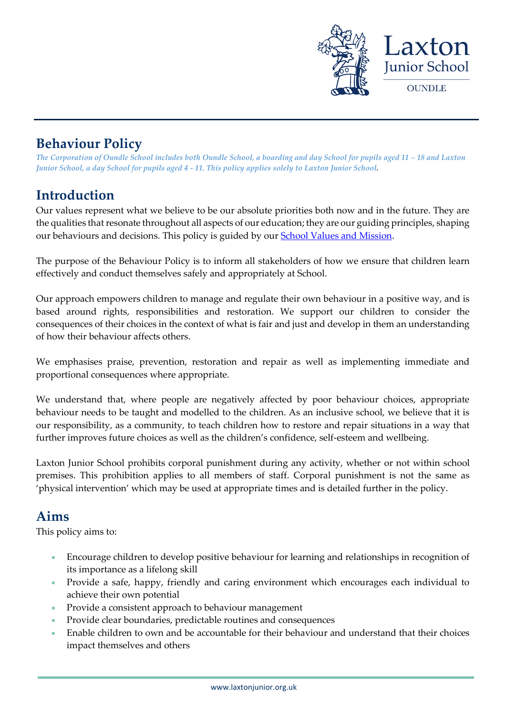

# **Behaviour Policy**

*The Corporation of Oundle School includes both Oundle School, a boarding and day School for pupils aged 11 – 18 and Laxton Junior School, a day School for pupils aged 4 - 11. This policy applies solely to Laxton Junior School.* 

# **Introduction**

Our values represent what we believe to be our absolute priorities both now and in the future. They are the qualities that resonate throughout all aspects of our education; they are our guiding principles, shaping our behaviours and decisions. This policy is guided by our **School Values and Mission**.

The purpose of the Behaviour Policy is to inform all stakeholders of how we ensure that children learn effectively and conduct themselves safely and appropriately at School.

Our approach empowers children to manage and regulate their own behaviour in a positive way, and is based around rights, responsibilities and restoration. We support our children to consider the consequences of their choices in the context of what is fair and just and develop in them an understanding of how their behaviour affects others.

We emphasises praise, prevention, restoration and repair as well as implementing immediate and proportional consequences where appropriate.

We understand that, where people are negatively affected by poor behaviour choices, appropriate behaviour needs to be taught and modelled to the children. As an inclusive school, we believe that it is our responsibility, as a community, to teach children how to restore and repair situations in a way that further improves future choices as well as the children's confidence, self-esteem and wellbeing.

Laxton Junior School prohibits corporal punishment during any activity, whether or not within school premises. This prohibition applies to all members of staff. Corporal punishment is not the same as 'physical intervention' which may be used at appropriate times and is detailed further in the policy.

# **Aims**

This policy aims to:

- Encourage children to develop positive behaviour for learning and relationships in recognition of its importance as a lifelong skill
- Provide a safe, happy, friendly and caring environment which encourages each individual to achieve their own potential
- Provide a consistent approach to behaviour management
- Provide clear boundaries, predictable routines and consequences
- Enable children to own and be accountable for their behaviour and understand that their choices impact themselves and others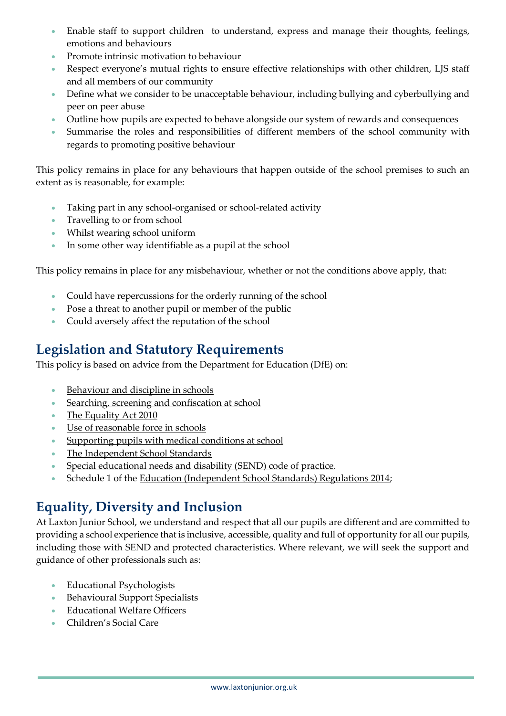- Enable staff to support children to understand, express and manage their thoughts, feelings, emotions and behaviours
- Promote intrinsic motivation to behaviour
- Respect everyone's mutual rights to ensure effective relationships with other children, LJS staff and all members of our community
- Define what we consider to be unacceptable behaviour, including bullying and cyberbullying and peer on peer abuse
- Outline how pupils are expected to behave alongside our system of rewards and consequences
- Summarise the roles and responsibilities of different members of the school community with regards to promoting positive behaviour

This policy remains in place for any behaviours that happen outside of the school premises to such an extent as is reasonable, for example:

- Taking part in any school-organised or school-related activity
- Travelling to or from school
- Whilst wearing school uniform
- In some other way identifiable as a pupil at the school

This policy remains in place for any misbehaviour, whether or not the conditions above apply, that:

- Could have repercussions for the orderly running of the school
- Pose a threat to another pupil or member of the public
- Could aversely affect the reputation of the school

# **Legislation and Statutory Requirements**

This policy is based on advice from the Department for Education (DfE) on:

- [Behaviour and discipline in schools](https://www.gov.uk/government/publications/behaviour-and-discipline-in-schools)
- [Searching, screening and confiscation at school](https://www.gov.uk/government/publications/searching-screening-and-confiscation)
- The Equality Act 2010
- [Use of reasonable force in schools](https://www.gov.uk/government/publications/use-of-reasonable-force-in-schools)
- [Supporting pupils with medical conditions at school](https://www.gov.uk/government/publications/supporting-pupils-at-school-with-medical-conditions--3)
- [The Independent School Standards](https://assets.publishing.service.gov.uk/government/uploads/system/uploads/attachment_data/file/800615/Independent_School_Standards-_Guidance_070519.pdf)
- [Special educational needs and disability \(SEND\) code of practice.](https://www.gov.uk/government/publications/send-code-of-practice-0-to-25)
- Schedule 1 of the [Education \(Independent School Standards\) Regulations 2014;](http://www.legislation.gov.uk/uksi/2014/3283/schedule/made)

# **Equality, Diversity and Inclusion**

At Laxton Junior School, we understand and respect that all our pupils are different and are committed to providing a school experience that is inclusive, accessible, quality and full of opportunity for all our pupils, including those with SEND and protected characteristics. Where relevant, we will seek the support and guidance of other professionals such as:

- Educational Psychologists
- Behavioural Support Specialists
- Educational Welfare Officers
- Children's Social Care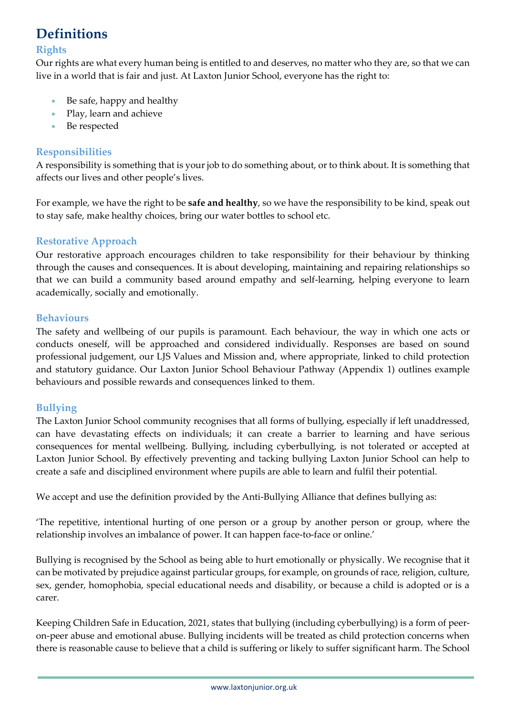# **Definitions**

#### **Rights**

Our rights are what every human being is entitled to and deserves, no matter who they are, so that we can live in a world that is fair and just. At Laxton Junior School, everyone has the right to:

- Be safe, happy and healthy
- Play, learn and achieve
- Be respected

### **Responsibilities**

A responsibility is something that is your job to do something about, or to think about. It is something that affects our lives and other people's lives.

For example, we have the right to be **safe and healthy**, so we have the responsibility to be kind, speak out to stay safe, make healthy choices, bring our water bottles to school etc.

### **Restorative Approach**

Our restorative approach encourages children to take responsibility for their behaviour by thinking through the causes and consequences. It is about developing, maintaining and repairing relationships so that we can build a community based around empathy and self-learning, helping everyone to learn academically, socially and emotionally.

#### **Behaviours**

The safety and wellbeing of our pupils is paramount. Each behaviour, the way in which one acts or conducts oneself, will be approached and considered individually. Responses are based on sound professional judgement, our LJS Values and Mission and, where appropriate, linked to child protection and statutory guidance. Our Laxton Junior School Behaviour Pathway (Appendix 1) outlines example behaviours and possible rewards and consequences linked to them.

#### **Bullying**

The Laxton Junior School community recognises that all forms of bullying, especially if left unaddressed, can have devastating effects on individuals; it can create a barrier to learning and have serious consequences for mental wellbeing. Bullying, including cyberbullying, is not tolerated or accepted at Laxton Junior School. By effectively preventing and tacking bullying Laxton Junior School can help to create a safe and disciplined environment where pupils are able to learn and fulfil their potential.

We accept and use the definition provided by the Anti-Bullying Alliance that defines bullying as:

'The repetitive, intentional hurting of one person or a group by another person or group, where the relationship involves an imbalance of power. It can happen face-to-face or online.'

Bullying is recognised by the School as being able to hurt emotionally or physically. We recognise that it can be motivated by prejudice against particular groups, for example, on grounds of race, religion, culture, sex, gender, homophobia, special educational needs and disability, or because a child is adopted or is a carer.

Keeping Children Safe in Education, 2021, states that bullying (including cyberbullying) is a form of peeron-peer abuse and emotional abuse. Bullying incidents will be treated as child protection concerns when there is reasonable cause to believe that a child is suffering or likely to suffer significant harm. The School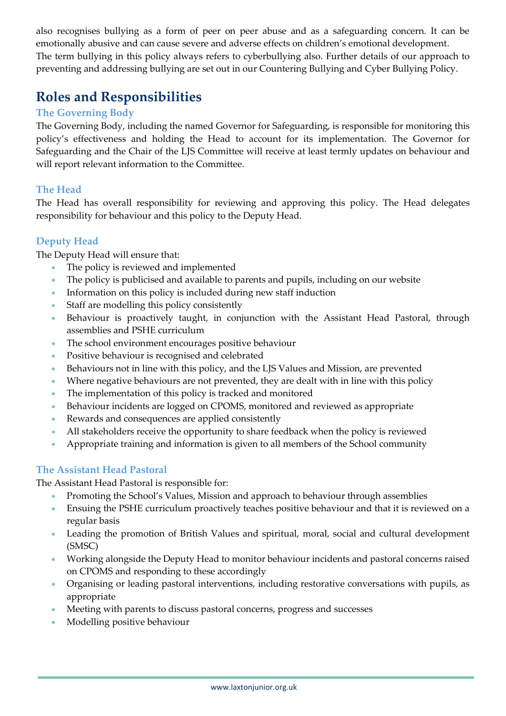also recognises bullying as a form of peer on peer abuse and as a safeguarding concern. It can be emotionally abusive and can cause severe and adverse effects on children's emotional development. The term bullying in this policy always refers to cyberbullying also. Further details of our approach to preventing and addressing bullying are set out in our Countering Bullying and Cyber Bullying Policy.

# **Roles and Responsibilities**

### **The Governing Body**

The Governing Body, including the named Governor for Safeguarding, is responsible for monitoring this policy's effectiveness and holding the Head to account for its implementation. The Governor for Safeguarding and the Chair of the LJS Committee will receive at least termly updates on behaviour and will report relevant information to the Committee.

### **The Head**

The Head has overall responsibility for reviewing and approving this policy. The Head delegates responsibility for behaviour and this policy to the Deputy Head.

### **Deputy Head**

The Deputy Head will ensure that:

- The policy is reviewed and implemented
- The policy is publicised and available to parents and pupils, including on our website
- Information on this policy is included during new staff induction
- Staff are modelling this policy consistently
- Behaviour is proactively taught, in conjunction with the Assistant Head Pastoral, through assemblies and PSHE curriculum
- The school environment encourages positive behaviour
- Positive behaviour is recognised and celebrated
- Behaviours not in line with this policy, and the LJS Values and Mission, are prevented
- Where negative behaviours are not prevented, they are dealt with in line with this policy
- The implementation of this policy is tracked and monitored
- Behaviour incidents are logged on CPOMS, monitored and reviewed as appropriate
- Rewards and consequences are applied consistently
- All stakeholders receive the opportunity to share feedback when the policy is reviewed
- Appropriate training and information is given to all members of the School community

### **The Assistant Head Pastoral**

The Assistant Head Pastoral is responsible for:

- Promoting the School's Values, Mission and approach to behaviour through assemblies
- Ensuing the PSHE curriculum proactively teaches positive behaviour and that it is reviewed on a regular basis
- Leading the promotion of British Values and spiritual, moral, social and cultural development (SMSC)
- Working alongside the Deputy Head to monitor behaviour incidents and pastoral concerns raised on CPOMS and responding to these accordingly
- Organising or leading pastoral interventions, including restorative conversations with pupils, as appropriate
- Meeting with parents to discuss pastoral concerns, progress and successes
- Modelling positive behaviour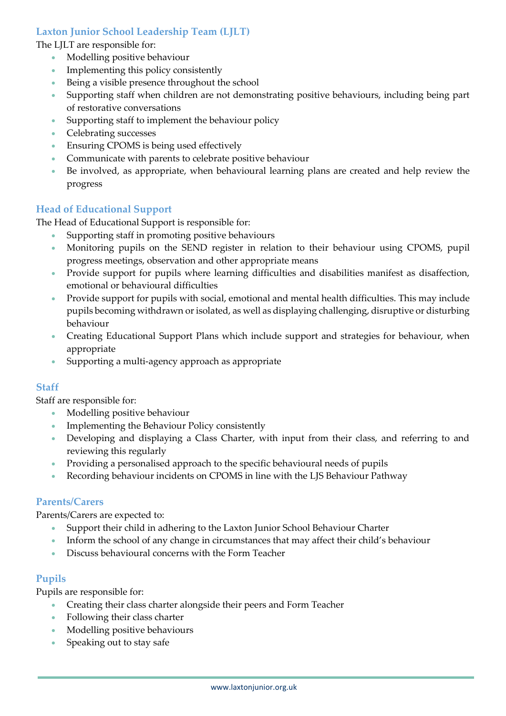### **Laxton Junior School Leadership Team (LJLT)**

The LJLT are responsible for:

- Modelling positive behaviour
- Implementing this policy consistently
- Being a visible presence throughout the school
- Supporting staff when children are not demonstrating positive behaviours, including being part of restorative conversations
- Supporting staff to implement the behaviour policy
- Celebrating successes
- Ensuring CPOMS is being used effectively
- Communicate with parents to celebrate positive behaviour
- Be involved, as appropriate, when behavioural learning plans are created and help review the progress

#### **Head of Educational Support**

The Head of Educational Support is responsible for:

- Supporting staff in promoting positive behaviours
- Monitoring pupils on the SEND register in relation to their behaviour using CPOMS, pupil progress meetings, observation and other appropriate means
- Provide support for pupils where learning difficulties and disabilities manifest as disaffection, emotional or behavioural difficulties
- Provide support for pupils with social, emotional and mental health difficulties. This may include pupils becoming withdrawn or isolated, as well as displaying challenging, disruptive or disturbing behaviour
- Creating Educational Support Plans which include support and strategies for behaviour, when appropriate
- Supporting a multi-agency approach as appropriate

#### **Staff**

Staff are responsible for:

- Modelling positive behaviour
- Implementing the Behaviour Policy consistently
- Developing and displaying a Class Charter, with input from their class, and referring to and reviewing this regularly
- Providing a personalised approach to the specific behavioural needs of pupils
- Recording behaviour incidents on CPOMS in line with the LJS Behaviour Pathway

#### **Parents/Carers**

Parents/Carers are expected to:

- Support their child in adhering to the Laxton Junior School Behaviour Charter
- Inform the school of any change in circumstances that may affect their child's behaviour
- Discuss behavioural concerns with the Form Teacher

#### **Pupils**

Pupils are responsible for:

- Creating their class charter alongside their peers and Form Teacher
- Following their class charter
- Modelling positive behaviours
- Speaking out to stay safe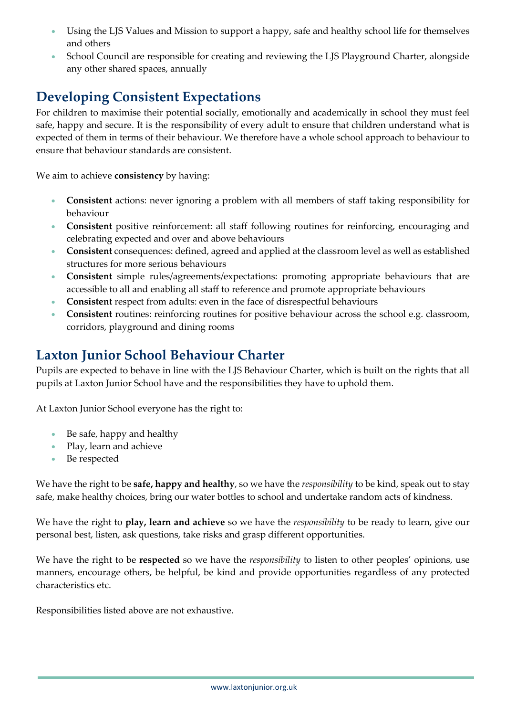- Using the LJS Values and Mission to support a happy, safe and healthy school life for themselves and others
- School Council are responsible for creating and reviewing the LJS Playground Charter, alongside any other shared spaces, annually

# **Developing Consistent Expectations**

For children to maximise their potential socially, emotionally and academically in school they must feel safe, happy and secure. It is the responsibility of every adult to ensure that children understand what is expected of them in terms of their behaviour. We therefore have a whole school approach to behaviour to ensure that behaviour standards are consistent.

We aim to achieve **consistency** by having:

- **Consistent** actions: never ignoring a problem with all members of staff taking responsibility for behaviour
- **Consistent** positive reinforcement: all staff following routines for reinforcing, encouraging and celebrating expected and over and above behaviours
- **Consistent** consequences: defined, agreed and applied at the classroom level as well as established structures for more serious behaviours
- **Consistent** simple rules/agreements/expectations: promoting appropriate behaviours that are accessible to all and enabling all staff to reference and promote appropriate behaviours
- **Consistent** respect from adults: even in the face of disrespectful behaviours
- **Consistent** routines: reinforcing routines for positive behaviour across the school e.g. classroom, corridors, playground and dining rooms

# **Laxton Junior School Behaviour Charter**

Pupils are expected to behave in line with the LJS Behaviour Charter, which is built on the rights that all pupils at Laxton Junior School have and the responsibilities they have to uphold them.

At Laxton Junior School everyone has the right to:

- Be safe, happy and healthy
- Play, learn and achieve
- Be respected

We have the right to be **safe, happy and healthy**, so we have the *responsibility* to be kind, speak out to stay safe, make healthy choices, bring our water bottles to school and undertake random acts of kindness.

We have the right to **play, learn and achieve** so we have the *responsibility* to be ready to learn, give our personal best, listen, ask questions, take risks and grasp different opportunities.

We have the right to be **respected** so we have the *responsibility* to listen to other peoples' opinions, use manners, encourage others, be helpful, be kind and provide opportunities regardless of any protected characteristics etc.

Responsibilities listed above are not exhaustive.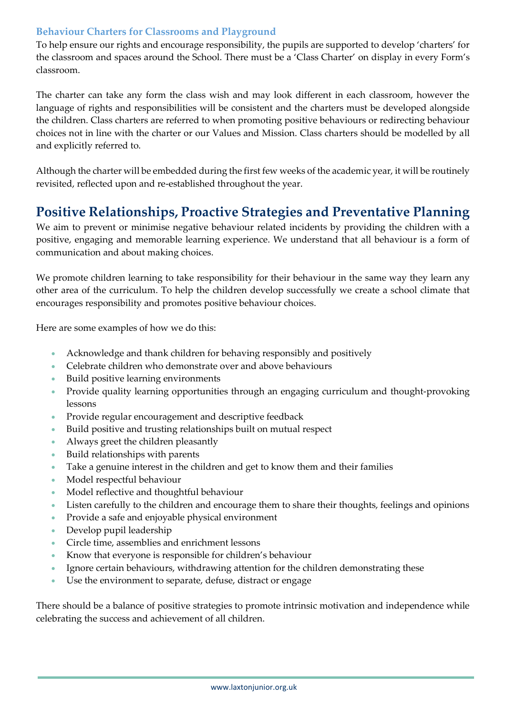### **Behaviour Charters for Classrooms and Playground**

To help ensure our rights and encourage responsibility, the pupils are supported to develop 'charters' for the classroom and spaces around the School. There must be a 'Class Charter' on display in every Form's classroom.

The charter can take any form the class wish and may look different in each classroom, however the language of rights and responsibilities will be consistent and the charters must be developed alongside the children. Class charters are referred to when promoting positive behaviours or redirecting behaviour choices not in line with the charter or our Values and Mission. Class charters should be modelled by all and explicitly referred to.

Although the charter will be embedded during the first few weeks of the academic year, it will be routinely revisited, reflected upon and re-established throughout the year.

### **Positive Relationships, Proactive Strategies and Preventative Planning**

We aim to prevent or minimise negative behaviour related incidents by providing the children with a positive, engaging and memorable learning experience. We understand that all behaviour is a form of communication and about making choices.

We promote children learning to take responsibility for their behaviour in the same way they learn any other area of the curriculum. To help the children develop successfully we create a school climate that encourages responsibility and promotes positive behaviour choices.

Here are some examples of how we do this:

- Acknowledge and thank children for behaving responsibly and positively
- Celebrate children who demonstrate over and above behaviours
- Build positive learning environments
- Provide quality learning opportunities through an engaging curriculum and thought-provoking lessons
- Provide regular encouragement and descriptive feedback
- Build positive and trusting relationships built on mutual respect
- Always greet the children pleasantly
- Build relationships with parents
- Take a genuine interest in the children and get to know them and their families
- Model respectful behaviour
- Model reflective and thoughtful behaviour
- Listen carefully to the children and encourage them to share their thoughts, feelings and opinions
- Provide a safe and enjoyable physical environment
- Develop pupil leadership
- Circle time, assemblies and enrichment lessons
- Know that everyone is responsible for children's behaviour
- Ignore certain behaviours, withdrawing attention for the children demonstrating these
- Use the environment to separate, defuse, distract or engage

There should be a balance of positive strategies to promote intrinsic motivation and independence while celebrating the success and achievement of all children.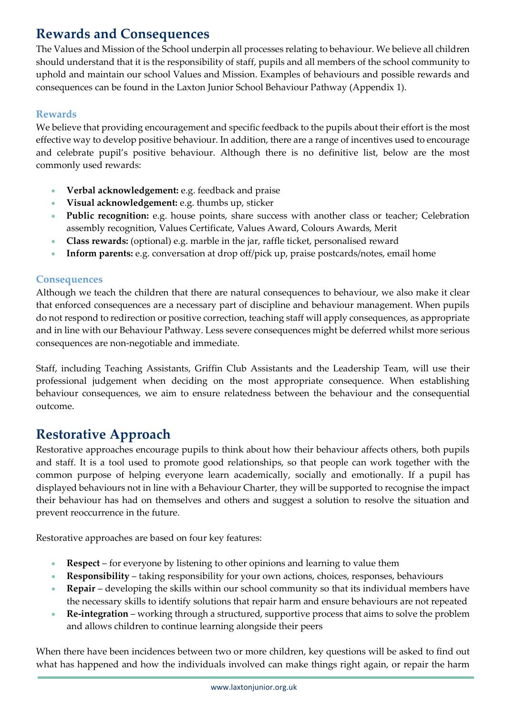# **Rewards and Consequences**

The Values and Mission of the School underpin all processes relating to behaviour. We believe all children should understand that it is the responsibility of staff, pupils and all members of the school community to uphold and maintain our school Values and Mission. Examples of behaviours and possible rewards and consequences can be found in the Laxton Junior School Behaviour Pathway (Appendix 1).

### **Rewards**

We believe that providing encouragement and specific feedback to the pupils about their effort is the most effective way to develop positive behaviour. In addition, there are a range of incentives used to encourage and celebrate pupil's positive behaviour. Although there is no definitive list, below are the most commonly used rewards:

- **Verbal acknowledgement:** e.g. feedback and praise
- **Visual acknowledgement:** e.g. thumbs up, sticker
- **Public recognition:** e.g. house points, share success with another class or teacher; Celebration assembly recognition, Values Certificate, Values Award, Colours Awards, Merit
- **Class rewards:** (optional) e.g. marble in the jar, raffle ticket, personalised reward
- **Inform parents:** e.g. conversation at drop off/pick up, praise postcards/notes, email home

### **Consequences**

Although we teach the children that there are natural consequences to behaviour, we also make it clear that enforced consequences are a necessary part of discipline and behaviour management. When pupils do not respond to redirection or positive correction, teaching staff will apply consequences, as appropriate and in line with our Behaviour Pathway. Less severe consequences might be deferred whilst more serious consequences are non-negotiable and immediate.

Staff, including Teaching Assistants, Griffin Club Assistants and the Leadership Team, will use their professional judgement when deciding on the most appropriate consequence. When establishing behaviour consequences, we aim to ensure relatedness between the behaviour and the consequential outcome.

# **Restorative Approach**

Restorative approaches encourage pupils to think about how their behaviour affects others, both pupils and staff. It is a tool used to promote good relationships, so that people can work together with the common purpose of helping everyone learn academically, socially and emotionally. If a pupil has displayed behaviours not in line with a Behaviour Charter, they will be supported to recognise the impact their behaviour has had on themselves and others and suggest a solution to resolve the situation and prevent reoccurrence in the future.

Restorative approaches are based on four key features:

- **Respect** for everyone by listening to other opinions and learning to value them
- **Responsibility** taking responsibility for your own actions, choices, responses, behaviours
- **Repair** developing the skills within our school community so that its individual members have the necessary skills to identify solutions that repair harm and ensure behaviours are not repeated
- **Re-integration** working through a structured, supportive process that aims to solve the problem and allows children to continue learning alongside their peers

When there have been incidences between two or more children, key questions will be asked to find out what has happened and how the individuals involved can make things right again, or repair the harm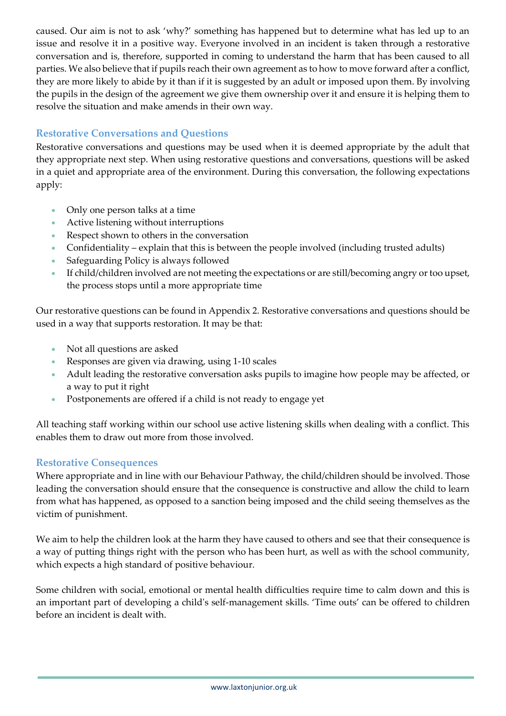caused. Our aim is not to ask 'why?' something has happened but to determine what has led up to an issue and resolve it in a positive way. Everyone involved in an incident is taken through a restorative conversation and is, therefore, supported in coming to understand the harm that has been caused to all parties. We also believe that if pupils reach their own agreement as to how to move forward after a conflict, they are more likely to abide by it than if it is suggested by an adult or imposed upon them. By involving the pupils in the design of the agreement we give them ownership over it and ensure it is helping them to resolve the situation and make amends in their own way.

### **Restorative Conversations and Questions**

Restorative conversations and questions may be used when it is deemed appropriate by the adult that they appropriate next step. When using restorative questions and conversations, questions will be asked in a quiet and appropriate area of the environment. During this conversation, the following expectations apply:

- Only one person talks at a time
- Active listening without interruptions
- Respect shown to others in the conversation
- Confidentiality explain that this is between the people involved (including trusted adults)
- Safeguarding Policy is always followed
- If child/children involved are not meeting the expectations or are still/becoming angry or too upset, the process stops until a more appropriate time

Our restorative questions can be found in Appendix 2. Restorative conversations and questions should be used in a way that supports restoration. It may be that:

- Not all questions are asked
- Responses are given via drawing, using 1-10 scales
- Adult leading the restorative conversation asks pupils to imagine how people may be affected, or a way to put it right
- Postponements are offered if a child is not ready to engage yet

All teaching staff working within our school use active listening skills when dealing with a conflict. This enables them to draw out more from those involved.

#### **Restorative Consequences**

Where appropriate and in line with our Behaviour Pathway, the child/children should be involved. Those leading the conversation should ensure that the consequence is constructive and allow the child to learn from what has happened, as opposed to a sanction being imposed and the child seeing themselves as the victim of punishment.

We aim to help the children look at the harm they have caused to others and see that their consequence is a way of putting things right with the person who has been hurt, as well as with the school community, which expects a high standard of positive behaviour.

Some children with social, emotional or mental health difficulties require time to calm down and this is an important part of developing a child's self-management skills. 'Time outs' can be offered to children before an incident is dealt with.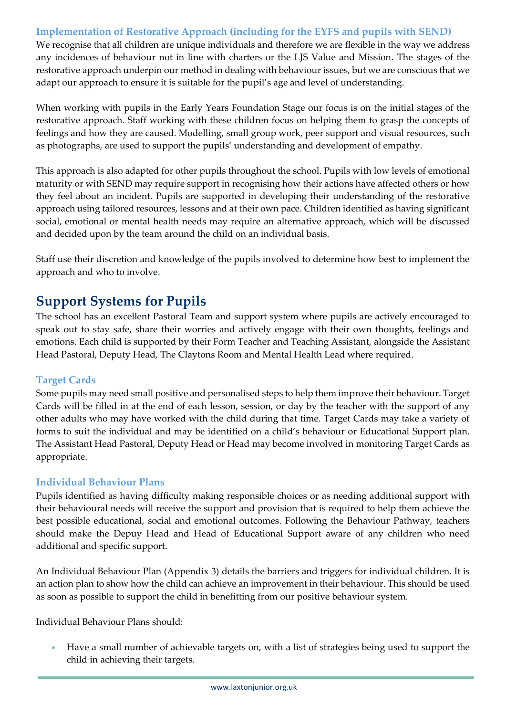### **Implementation of Restorative Approach (including for the EYFS and pupils with SEND)**

We recognise that all children are unique individuals and therefore we are flexible in the way we address any incidences of behaviour not in line with charters or the LJS Value and Mission. The stages of the restorative approach underpin our method in dealing with behaviour issues, but we are conscious that we adapt our approach to ensure it is suitable for the pupil's age and level of understanding.

When working with pupils in the Early Years Foundation Stage our focus is on the initial stages of the restorative approach. Staff working with these children focus on helping them to grasp the concepts of feelings and how they are caused. Modelling, small group work, peer support and visual resources, such as photographs, are used to support the pupils' understanding and development of empathy.

This approach is also adapted for other pupils throughout the school. Pupils with low levels of emotional maturity or with SEND may require support in recognising how their actions have affected others or how they feel about an incident. Pupils are supported in developing their understanding of the restorative approach using tailored resources, lessons and at their own pace. Children identified as having significant social, emotional or mental health needs may require an alternative approach, which will be discussed and decided upon by the team around the child on an individual basis.

Staff use their discretion and knowledge of the pupils involved to determine how best to implement the approach and who to involve**.**

### **Support Systems for Pupils**

The school has an excellent Pastoral Team and support system where pupils are actively encouraged to speak out to stay safe, share their worries and actively engage with their own thoughts, feelings and emotions. Each child is supported by their Form Teacher and Teaching Assistant, alongside the Assistant Head Pastoral, Deputy Head, The Claytons Room and Mental Health Lead where required.

### **Target Cards**

Some pupils may need small positive and personalised steps to help them improve their behaviour. Target Cards will be filled in at the end of each lesson, session, or day by the teacher with the support of any other adults who may have worked with the child during that time. Target Cards may take a variety of forms to suit the individual and may be identified on a child's behaviour or Educational Support plan. The Assistant Head Pastoral, Deputy Head or Head may become involved in monitoring Target Cards as appropriate.

### **Individual Behaviour Plans**

Pupils identified as having difficulty making responsible choices or as needing additional support with their behavioural needs will receive the support and provision that is required to help them achieve the best possible educational, social and emotional outcomes. Following the Behaviour Pathway, teachers should make the Depuy Head and Head of Educational Support aware of any children who need additional and specific support.

An Individual Behaviour Plan (Appendix 3) details the barriers and triggers for individual children. It is an action plan to show how the child can achieve an improvement in their behaviour. This should be used as soon as possible to support the child in benefitting from our positive behaviour system.

Individual Behaviour Plans should:

• Have a small number of achievable targets on, with a list of strategies being used to support the child in achieving their targets.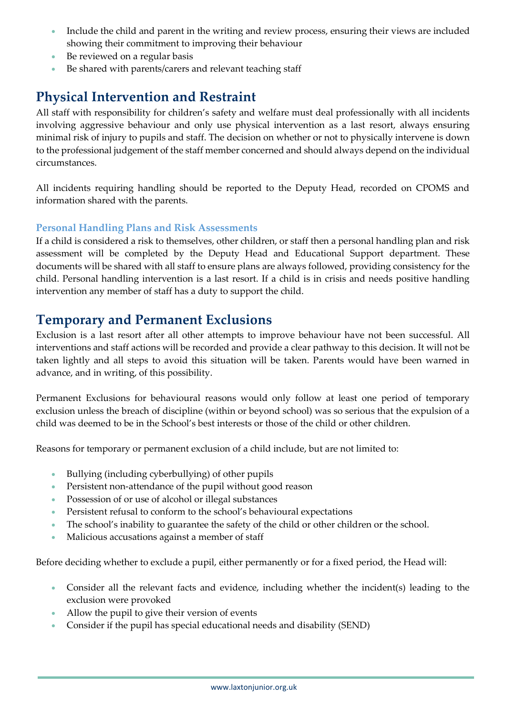- Include the child and parent in the writing and review process, ensuring their views are included showing their commitment to improving their behaviour
- Be reviewed on a regular basis
- Be shared with parents/carers and relevant teaching staff

# **Physical Intervention and Restraint**

All staff with responsibility for children's safety and welfare must deal professionally with all incidents involving aggressive behaviour and only use physical intervention as a last resort, always ensuring minimal risk of injury to pupils and staff. The decision on whether or not to physically intervene is down to the professional judgement of the staff member concerned and should always depend on the individual circumstances.

All incidents requiring handling should be reported to the Deputy Head, recorded on CPOMS and information shared with the parents.

### **Personal Handling Plans and Risk Assessments**

If a child is considered a risk to themselves, other children, or staff then a personal handling plan and risk assessment will be completed by the Deputy Head and Educational Support department. These documents will be shared with all staff to ensure plans are always followed, providing consistency for the child. Personal handling intervention is a last resort. If a child is in crisis and needs positive handling intervention any member of staff has a duty to support the child.

### **Temporary and Permanent Exclusions**

Exclusion is a last resort after all other attempts to improve behaviour have not been successful. All interventions and staff actions will be recorded and provide a clear pathway to this decision. It will not be taken lightly and all steps to avoid this situation will be taken. Parents would have been warned in advance, and in writing, of this possibility.

Permanent Exclusions for behavioural reasons would only follow at least one period of temporary exclusion unless the breach of discipline (within or beyond school) was so serious that the expulsion of a child was deemed to be in the School's best interests or those of the child or other children.

Reasons for temporary or permanent exclusion of a child include, but are not limited to:

- Bullying (including cyberbullying) of other pupils
- Persistent non-attendance of the pupil without good reason
- Possession of or use of alcohol or illegal substances
- Persistent refusal to conform to the school's behavioural expectations
- The school's inability to guarantee the safety of the child or other children or the school.
- Malicious accusations against a member of staff

Before deciding whether to exclude a pupil, either permanently or for a fixed period, the Head will:

- Consider all the relevant facts and evidence, including whether the incident(s) leading to the exclusion were provoked
- Allow the pupil to give their version of events
- Consider if the pupil has special educational needs and disability (SEND)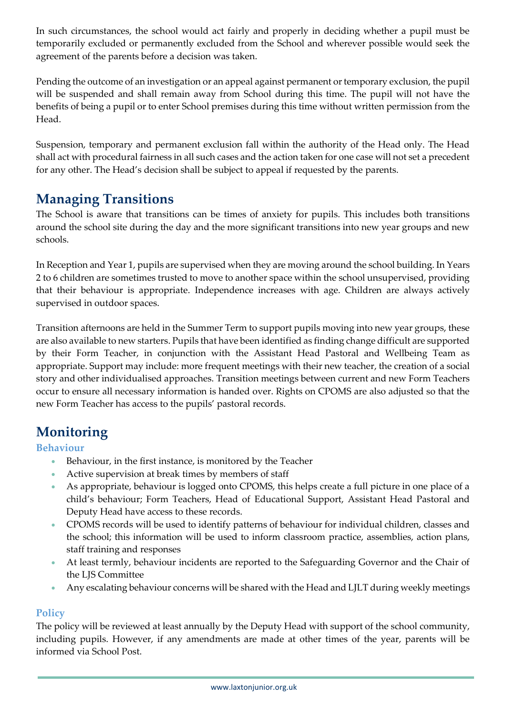In such circumstances, the school would act fairly and properly in deciding whether a pupil must be temporarily excluded or permanently excluded from the School and wherever possible would seek the agreement of the parents before a decision was taken.

Pending the outcome of an investigation or an appeal against permanent or temporary exclusion, the pupil will be suspended and shall remain away from School during this time. The pupil will not have the benefits of being a pupil or to enter School premises during this time without written permission from the Head.

Suspension, temporary and permanent exclusion fall within the authority of the Head only. The Head shall act with procedural fairness in all such cases and the action taken for one case will not set a precedent for any other. The Head's decision shall be subject to appeal if requested by the parents.

### **Managing Transitions**

The School is aware that transitions can be times of anxiety for pupils. This includes both transitions around the school site during the day and the more significant transitions into new year groups and new schools.

In Reception and Year 1, pupils are supervised when they are moving around the school building. In Years 2 to 6 children are sometimes trusted to move to another space within the school unsupervised, providing that their behaviour is appropriate. Independence increases with age. Children are always actively supervised in outdoor spaces.

Transition afternoons are held in the Summer Term to support pupils moving into new year groups, these are also available to new starters. Pupils that have been identified as finding change difficult are supported by their Form Teacher, in conjunction with the Assistant Head Pastoral and Wellbeing Team as appropriate. Support may include: more frequent meetings with their new teacher, the creation of a social story and other individualised approaches. Transition meetings between current and new Form Teachers occur to ensure all necessary information is handed over. Rights on CPOMS are also adjusted so that the new Form Teacher has access to the pupils' pastoral records.

# **Monitoring**

#### **Behaviour**

- Behaviour, in the first instance, is monitored by the Teacher
- Active supervision at break times by members of staff
- As appropriate, behaviour is logged onto CPOMS, this helps create a full picture in one place of a child's behaviour; Form Teachers, Head of Educational Support, Assistant Head Pastoral and Deputy Head have access to these records.
- CPOMS records will be used to identify patterns of behaviour for individual children, classes and the school; this information will be used to inform classroom practice, assemblies, action plans, staff training and responses
- At least termly, behaviour incidents are reported to the Safeguarding Governor and the Chair of the LJS Committee
- Any escalating behaviour concerns will be shared with the Head and LJLT during weekly meetings

#### **Policy**

The policy will be reviewed at least annually by the Deputy Head with support of the school community, including pupils. However, if any amendments are made at other times of the year, parents will be informed via School Post.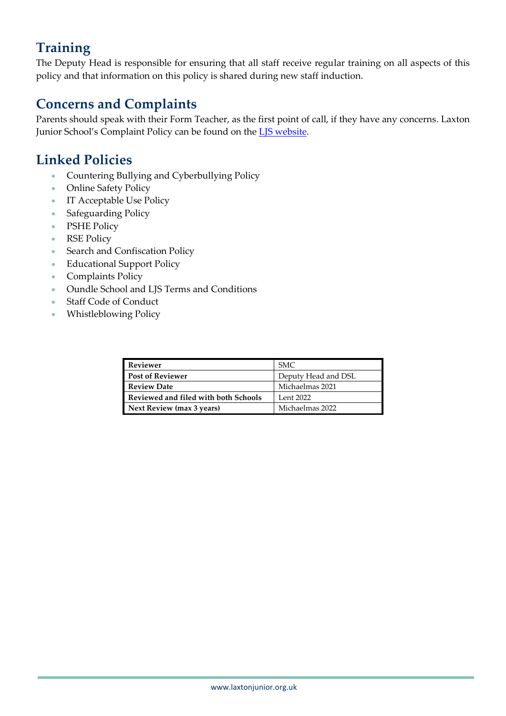# **Training**

The Deputy Head is responsible for ensuring that all staff receive regular training on all aspects of this policy and that information on this policy is shared during new staff induction.

# **Concerns and Complaints**

Parents should speak with their Form Teacher, as the first point of call, if they have any concerns. Laxton Junior School's Complaint Policy can be found on the **LJS website**.

## **Linked Policies**

- Countering Bullying and Cyberbullying Policy
- Online Safety Policy
- IT Acceptable Use Policy
- Safeguarding Policy
- PSHE Policy
- RSE Policy
- Search and Confiscation Policy
- Educational Support Policy
- Complaints Policy
- Oundle School and LJS Terms and Conditions
- Staff Code of Conduct
- Whistleblowing Policy

| <b>Reviewer</b>                      | SMC.                |
|--------------------------------------|---------------------|
| <b>Post of Reviewer</b>              | Deputy Head and DSL |
| <b>Review Date</b>                   | Michaelmas 2021     |
| Reviewed and filed with both Schools | Lent 2022           |
| Next Review (max 3 years)            | Michaelmas 2022     |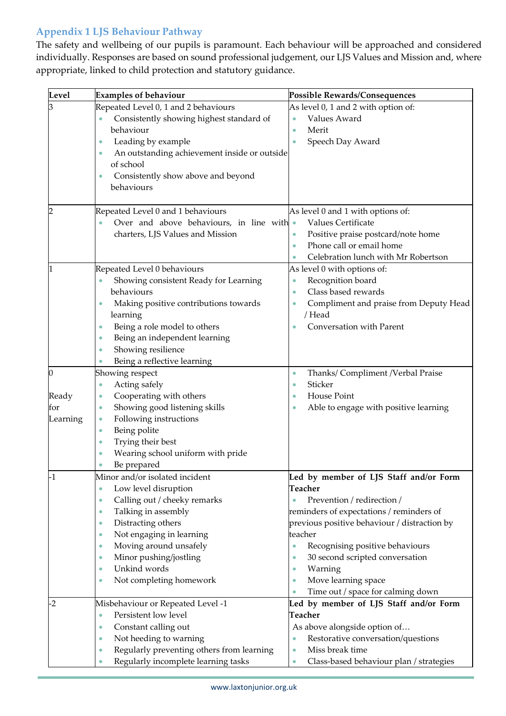### **Appendix 1 LJS Behaviour Pathway**

The safety and wellbeing of our pupils is paramount. Each behaviour will be approached and considered individually. Responses are based on sound professional judgement, our LJS Values and Mission and, where appropriate, linked to child protection and statutory guidance.

| Level    | <b>Examples of behaviour</b>                           | <b>Possible Rewards/Consequences</b>                 |
|----------|--------------------------------------------------------|------------------------------------------------------|
| З        | Repeated Level 0, 1 and 2 behaviours                   | As level 0, 1 and 2 with option of:                  |
|          | Consistently showing highest standard of<br>۰          | Values Award<br>$\bullet$                            |
|          | behaviour                                              | Merit<br>۰                                           |
|          | Leading by example<br>۰                                | Speech Day Award                                     |
|          | An outstanding achievement inside or outside<br>۰      |                                                      |
|          | of school                                              |                                                      |
|          | Consistently show above and beyond<br>$\bullet$        |                                                      |
|          | behaviours                                             |                                                      |
|          |                                                        |                                                      |
| 2        | Repeated Level 0 and 1 behaviours                      | As level 0 and 1 with options of:                    |
|          | Over and above behaviours, in line with •<br>$\bullet$ | Values Certificate                                   |
|          | charters, LJS Values and Mission                       | Positive praise postcard/note home                   |
|          |                                                        | Phone call or email home                             |
|          |                                                        | Celebration lunch with Mr Robertson                  |
|          | Repeated Level 0 behaviours                            | As level 0 with options of:                          |
|          | Showing consistent Ready for Learning<br>۰             | Recognition board<br>$\bullet$                       |
|          | behaviours                                             | Class based rewards<br>۰                             |
|          | Making positive contributions towards<br>$\bullet$     | Compliment and praise from Deputy Head               |
|          | learning                                               | / Head                                               |
|          | Being a role model to others<br>۰                      | Conversation with Parent                             |
|          | Being an independent learning<br>۰                     |                                                      |
|          | Showing resilience<br>$\bullet$                        |                                                      |
|          | Being a reflective learning                            |                                                      |
| Ю        | Showing respect                                        | Thanks/ Compliment /Verbal Praise<br>$\bullet$       |
|          | Acting safely<br>$\bullet$                             | Sticker<br>$\bullet$                                 |
| Ready    | Cooperating with others<br>$\bullet$                   | House Point<br>$\bullet$                             |
| for      | Showing good listening skills<br>۰                     | Able to engage with positive learning<br>۰           |
| Learning | Following instructions<br>$\bullet$                    |                                                      |
|          | Being polite<br>$\bullet$                              |                                                      |
|          | Trying their best<br>$\bullet$                         |                                                      |
|          | Wearing school uniform with pride<br>۰                 |                                                      |
| $-1$     | Be prepared<br>Minor and/or isolated incident          | Led by member of LJS Staff and/or Form               |
|          | Low level disruption<br>$\bullet$                      | <b>Teacher</b>                                       |
|          | Calling out / cheeky remarks<br>$\bullet$              | Prevention / redirection /                           |
|          | Talking in assembly<br>۰                               | reminders of expectations / reminders of             |
|          | Distracting others<br>$\bullet$                        | previous positive behaviour / distraction by         |
|          | Not engaging in learning<br>۰                          | teacher                                              |
|          | Moving around unsafely<br>۰                            | Recognising positive behaviours<br>۰                 |
|          | Minor pushing/jostling<br>۰                            | 30 second scripted conversation<br>۰                 |
|          | Unkind words<br>$\bullet$                              | Warning<br>$\bullet$                                 |
|          | Not completing homework<br>۰                           | Move learning space<br>$\bullet$                     |
|          |                                                        | Time out / space for calming down                    |
| $-2$     | Misbehaviour or Repeated Level -1                      | Led by member of LJS Staff and/or Form               |
|          | Persistent low level<br>$\bullet$                      | <b>Teacher</b>                                       |
|          | Constant calling out<br>$\bullet$                      | As above alongside option of                         |
|          | Not heeding to warning<br>$\bullet$                    | Restorative conversation/questions                   |
|          | Regularly preventing others from learning<br>$\bullet$ | Miss break time<br>$\bullet$                         |
|          | Regularly incomplete learning tasks<br>$\bullet$       | Class-based behaviour plan / strategies<br>$\bullet$ |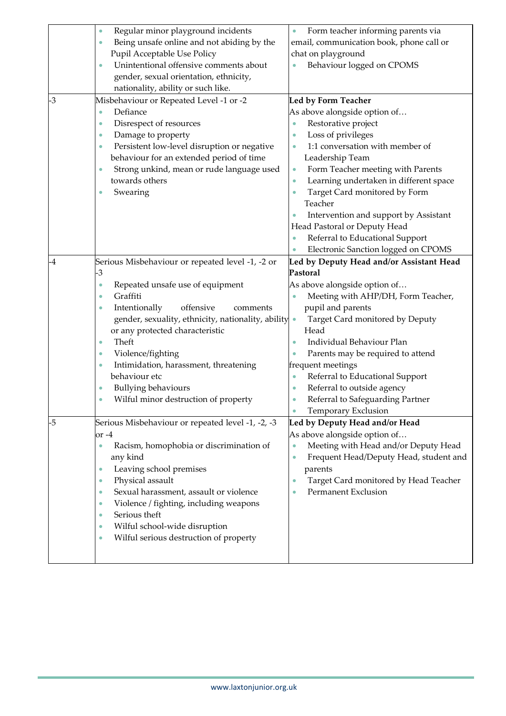|      | Regular minor playground incidents<br>$\bullet$          | Form teacher informing parents via                  |
|------|----------------------------------------------------------|-----------------------------------------------------|
|      | Being unsafe online and not abiding by the<br>$\bullet$  | email, communication book, phone call or            |
|      | Pupil Acceptable Use Policy                              | chat on playground                                  |
|      | Unintentional offensive comments about<br>$\bullet$      | Behaviour logged on CPOMS                           |
|      | gender, sexual orientation, ethnicity,                   |                                                     |
|      | nationality, ability or such like.                       |                                                     |
| $-3$ | Misbehaviour or Repeated Level -1 or -2                  | <b>Led by Form Teacher</b>                          |
|      | Defiance<br>$\bullet$                                    | As above alongside option of                        |
|      | Disrespect of resources<br>$\bullet$                     | Restorative project                                 |
|      | Damage to property<br>$\bullet$                          | Loss of privileges                                  |
|      | Persistent low-level disruption or negative<br>$\bullet$ | 1:1 conversation with member of<br>$\bullet$        |
|      | behaviour for an extended period of time                 | Leadership Team                                     |
|      | Strong unkind, mean or rude language used<br>$\bullet$   | Form Teacher meeting with Parents<br>۰              |
|      | towards others                                           | Learning undertaken in different space<br>$\bullet$ |
|      | Swearing<br>$\bullet$                                    | Target Card monitored by Form                       |
|      |                                                          | Teacher                                             |
|      |                                                          | Intervention and support by Assistant               |
|      |                                                          | Head Pastoral or Deputy Head                        |
|      |                                                          | Referral to Educational Support<br>$\bullet$        |
|      |                                                          | Electronic Sanction logged on CPOMS                 |
| -4   | Serious Misbehaviour or repeated level -1, -2 or         | Led by Deputy Head and/or Assistant Head            |
|      | -3                                                       | Pastoral                                            |
|      | Repeated unsafe use of equipment<br>$\bullet$            | As above alongside option of                        |
|      | Graffiti<br>$\bullet$                                    | Meeting with AHP/DH, Form Teacher,                  |
|      | offensive<br>Intentionally<br>comments<br>$\bullet$      | pupil and parents                                   |
|      | gender, sexuality, ethnicity, nationality, ability       | Target Card monitored by Deputy                     |
|      | or any protected characteristic                          | Head                                                |
|      | Theft<br>$\bullet$                                       | Individual Behaviour Plan                           |
|      | Violence/fighting<br>۰                                   | Parents may be required to attend                   |
|      | Intimidation, harassment, threatening<br>$\bullet$       | frequent meetings                                   |
|      | behaviour etc                                            | Referral to Educational Support<br>$\bullet$        |
|      | <b>Bullying behaviours</b><br>$\bullet$                  | Referral to outside agency<br>$\bullet$             |
|      | Wilful minor destruction of property<br>$\bullet$        | Referral to Safeguarding Partner                    |
|      |                                                          | Temporary Exclusion                                 |
| -5   | Serious Misbehaviour or repeated level -1, -2, -3        | Led by Deputy Head and/or Head                      |
|      | or -4                                                    | As above alongside option of                        |
|      | Racism, homophobia or discrimination of<br>$\bullet$     | Meeting with Head and/or Deputy Head<br>$\bullet$   |
|      | any kind                                                 | Frequent Head/Deputy Head, student and<br>$\bullet$ |
|      | Leaving school premises<br>$\bullet$                     | parents                                             |
|      | Physical assault<br>$\bullet$                            | Target Card monitored by Head Teacher               |
|      | Sexual harassment, assault or violence<br>$\bullet$      | Permanent Exclusion                                 |
|      | Violence / fighting, including weapons<br>$\bullet$      |                                                     |
|      | Serious theft<br>$\bullet$                               |                                                     |
|      | Wilful school-wide disruption<br>$\bullet$               |                                                     |
|      | Wilful serious destruction of property<br>$\bullet$      |                                                     |
|      |                                                          |                                                     |
|      |                                                          |                                                     |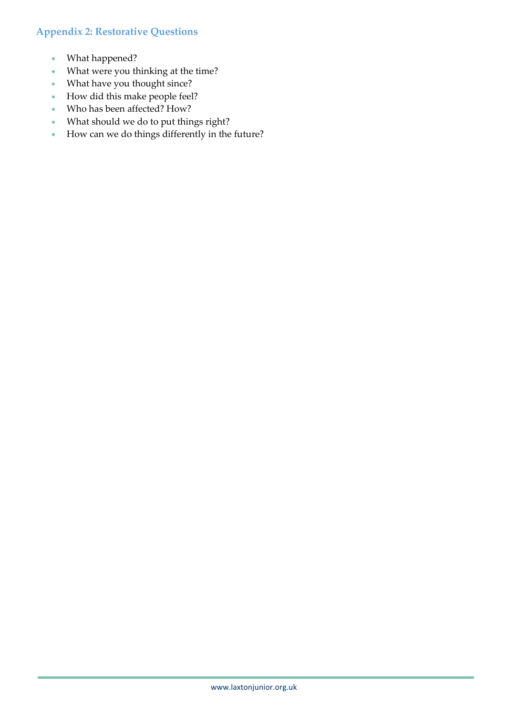### **Appendix 2: Restorative Questions**

- What happened?
- What were you thinking at the time?
- What have you thought since?
- How did this make people feel?
- Who has been affected? How?
- What should we do to put things right?
- How can we do things differently in the future?